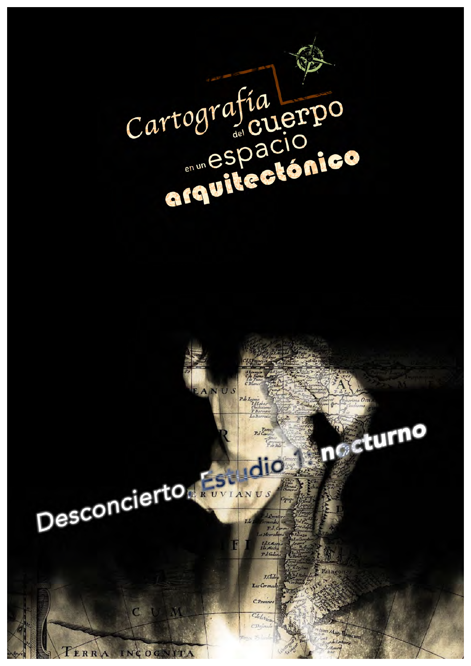

Cartografía<br>espacionico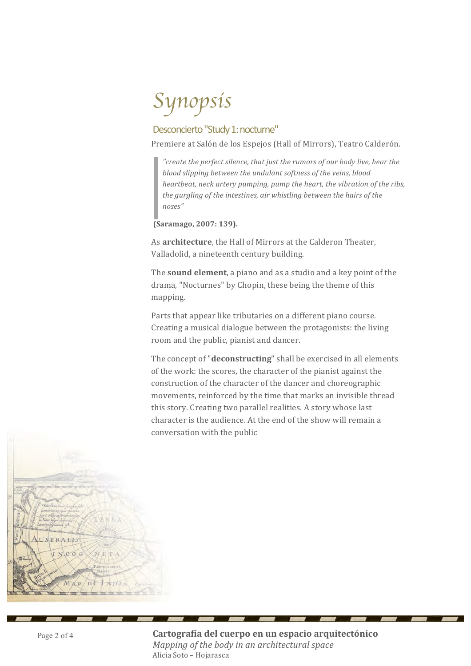# *Synopsis*

## Desconcierto "Study 1: nocturne"

Premiere at Salón de los Espejos (Hall of Mirrors), Teatro Calderón.

*"create the perfect silence, that just the rumors of our body live, hear the blood slipping between the undulant softness of the veins, blood heartbeat, neck artery pumping, pump the heart, the vibration of the ribs, the gurgling of the intestines, air whistling between the hairs of the noses"* 

**(Saramago, 2007: 139).**

As **architecture**, the Hall of Mirrors at the Calderon Theater, Valladolid, a nineteenth century building.

The **sound element**, a piano and as a studio and a key point of the drama, "Nocturnes" by Chopin, these being the theme of this mapping.

Parts that appear like tributaries on a different piano course. Creating a musical dialogue between the protagonists: the living room and the public, pianist and dancer.

The concept of "**deconstructing**" shall be exercised in all elements of the work: the scores, the character of the pianist against the construction of the character of the dancer and choreographic movements, reinforced by the time that marks an invisible thread this story. Creating two parallel realities. A story whose last character is the audience. At the end of the show will remain a conversation with the public

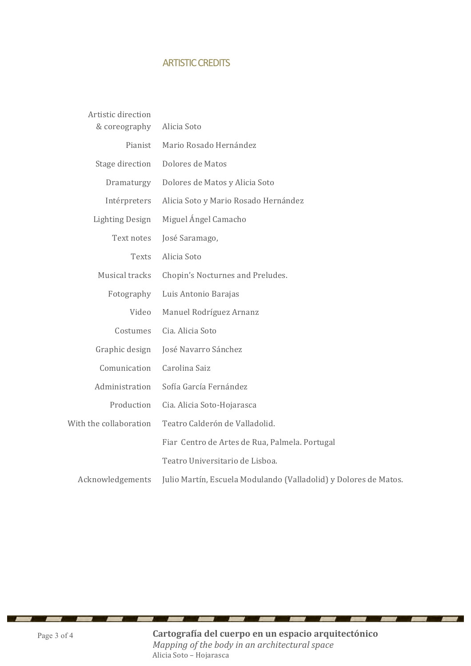### **ARTISTIC CREDITS**

| Artistic direction<br>& coreography | Alicia Soto                                                      |
|-------------------------------------|------------------------------------------------------------------|
| Pianist                             | Mario Rosado Hernández                                           |
| Stage direction                     | Dolores de Matos                                                 |
| Dramaturgy                          | Dolores de Matos y Alicia Soto                                   |
| Intérpreters                        | Alicia Soto y Mario Rosado Hernández                             |
| <b>Lighting Design</b>              | Miguel Ángel Camacho                                             |
| Text notes                          | José Saramago,                                                   |
| Texts                               | Alicia Soto                                                      |
| Musical tracks                      | Chopin's Nocturnes and Preludes.                                 |
| Fotography                          | Luis Antonio Barajas                                             |
| Video                               | Manuel Rodríguez Arnanz                                          |
| Costumes                            | Cia. Alicia Soto                                                 |
| Graphic design                      | José Navarro Sánchez                                             |
| Comunication                        | Carolina Saiz                                                    |
| Administration                      | Sofía García Fernández                                           |
| Production                          | Cia. Alicia Soto-Hojarasca                                       |
| With the collaboration              | Teatro Calderón de Valladolid.                                   |
|                                     | Fiar Centro de Artes de Rua, Palmela. Portugal                   |
|                                     | Teatro Universitario de Lisboa.                                  |
| Acknowledgements                    | Julio Martín, Escuela Modulando (Valladolid) y Dolores de Matos. |

**Cartografía del cuerpo en un espacio arquitectónico** *Mapping of the body in an architectural space* Alicia Soto - Hojarasca

 $-$ 

œ

**STATE** 

<u>and part of the second second in the second second in the second second in the second second in the second second in the second second in the second second in the second second in the second second in the second second in</u>

\_\_\_\_\_\_\_\_

v

v

× ×.

 $\sim$